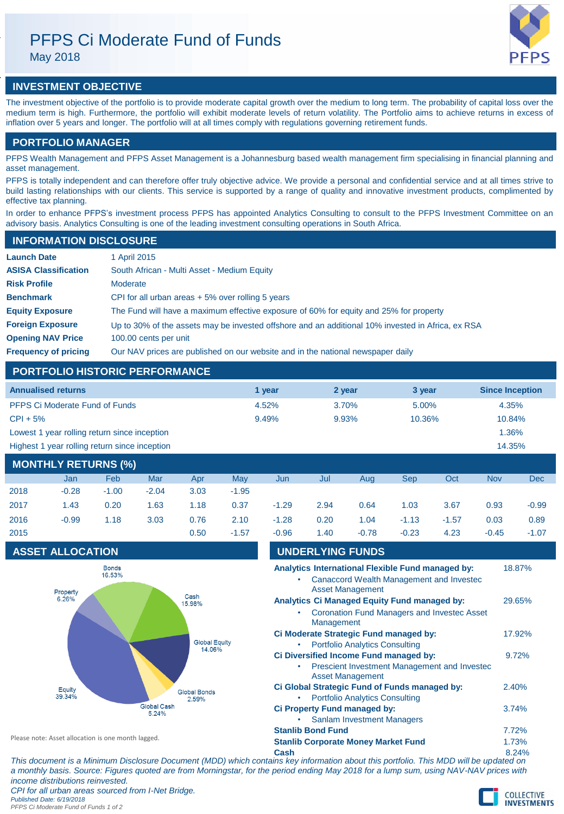# PFPS Ci Moderate Fund of Funds

May 2018



## **INVESTMENT OBJECTIVE**

The investment objective of the portfolio is to provide moderate capital growth over the medium to long term. The probability of capital loss over the medium term is high. Furthermore, the portfolio will exhibit moderate levels of return volatility. The Portfolio aims to achieve returns in excess of inflation over 5 years and longer. The portfolio will at all times comply with regulations governing retirement funds.

## **PORTFOLIO MANAGER**

**INFORMATION DISCLOSURE**

PFPS Wealth Management and PFPS Asset Management is a Johannesburg based wealth management firm specialising in financial planning and asset management.

PFPS is totally independent and can therefore offer truly objective advice. We provide a personal and confidential service and at all times strive to build lasting relationships with our clients. This service is supported by a range of quality and innovative investment products, complimented by effective tax planning.

In order to enhance PFPS's investment process PFPS has appointed Analytics Consulting to consult to the PFPS Investment Committee on an advisory basis. Analytics Consulting is one of the leading investment consulting operations in South Africa.

| <b>THE UNIVERTION DISCLOSURE</b> |                                                                                                   |
|----------------------------------|---------------------------------------------------------------------------------------------------|
| <b>Launch Date</b>               | 1 April 2015                                                                                      |
| <b>ASISA Classification</b>      | South African - Multi Asset - Medium Equity                                                       |
| <b>Risk Profile</b>              | Moderate                                                                                          |
| <b>Benchmark</b>                 | CPI for all urban areas $+5\%$ over rolling 5 years                                               |
| <b>Equity Exposure</b>           | The Fund will have a maximum effective exposure of 60% for equity and 25% for property            |
| <b>Foreign Exposure</b>          | Up to 30% of the assets may be invested offshore and an additional 10% invested in Africa, ex RSA |
| <b>Opening NAV Price</b>         | 100.00 cents per unit                                                                             |
| <b>Frequency of pricing</b>      | Our NAV prices are published on our website and in the national newspaper daily                   |

## **PORTFOLIO HISTORIC PERFORMANCE**

| <b>Annualised returns</b>                     | 1 vear | 2 year | 3 year | <b>Since Inception</b> |
|-----------------------------------------------|--------|--------|--------|------------------------|
| <b>PFPS Ci Moderate Fund of Funds</b>         | 4.52%  | 3.70%  | 5.00%  | 4.35%                  |
| $CPI + 5%$                                    | 9.49%  | 9.93%  | 10.36% | 10.84%                 |
| Lowest 1 year rolling return since inception  |        |        |        | 1.36%                  |
| Highest 1 year rolling return since inception |        |        |        | 14.35%                 |
|                                               |        |        |        |                        |

| <b>MONTHLY RETURNS (%)</b> |         |         |         |      |         |         |      |         |         |         |            |         |
|----------------------------|---------|---------|---------|------|---------|---------|------|---------|---------|---------|------------|---------|
|                            | Jan     | Feb     | Mar     | Apr  | May     | Jun     | Jul  | Aug     | Sep     | Oct     | <b>Nov</b> | Dec     |
| 2018                       | $-0.28$ | $-1.00$ | $-2.04$ | 3.03 | $-1.95$ |         |      |         |         |         |            |         |
| 2017                       | 1.43    | 0.20    | 1.63    | 1.18 | 0.37    | $-1.29$ | 2.94 | 0.64    | 1.03    | 3.67    | 0.93       | $-0.99$ |
| 2016                       | $-0.99$ | 1.18    | 3.03    | 0.76 | 2.10    | $-1.28$ | 0.20 | 1.04    | $-1.13$ | $-1.57$ | 0.03       | 0.89    |
| 2015                       |         |         |         | 0.50 | $-1.57$ | $-0.96$ | 1.40 | $-0.78$ | $-0.23$ | 4.23    | $-0.45$    | $-1.07$ |

## **ASSET ALLOCATION**



| v.vv |                          |                                                                          |                                                                                                           |        |  |
|------|--------------------------|--------------------------------------------------------------------------|-----------------------------------------------------------------------------------------------------------|--------|--|
|      | <b>UNDERLYING FUNDS</b>  |                                                                          |                                                                                                           |        |  |
|      |                          | <b>Asset Management</b>                                                  | Analytics International Flexible Fund managed by:<br>Canaccord Wealth Management and Investec             | 18.87% |  |
|      | Management               |                                                                          | <b>Analytics Ci Managed Equity Fund managed by:</b><br><b>Coronation Fund Managers and Investec Asset</b> | 29.65% |  |
| ۰    |                          | <b>Portfolio Analytics Consulting</b>                                    | Ci Moderate Strategic Fund managed by:                                                                    | 17.92% |  |
|      |                          | <b>Asset Management</b>                                                  | Ci Diversified Income Fund managed by:<br>Prescient Investment Management and Investec                    | 9.72%  |  |
|      |                          | <b>Portfolio Analytics Consulting</b>                                    | Ci Global Strategic Fund of Funds managed by:                                                             | 2.40%  |  |
|      |                          | <b>Ci Property Fund managed by:</b><br><b>Sanlam Investment Managers</b> |                                                                                                           | 3.74%  |  |
|      | <b>Stanlib Bond Fund</b> |                                                                          |                                                                                                           | 7.72%  |  |
|      |                          | <b>Stanlib Corporate Money Market Fund</b>                               |                                                                                                           | 1.73%  |  |
|      |                          |                                                                          |                                                                                                           |        |  |

**Cash** 8.24% *This document is a Minimum Disclosure Document (MDD) which contains key information about this portfolio. This MDD will be updated on a monthly basis. Source: Figures quoted are from Morningstar, for the period ending May 2018 for a lump sum, using NAV-NAV prices with income distributions reinvested.*

*CPI for all urban areas sourced from I-Net Bridge.*

Please note: Asset allocation is one month lagged.